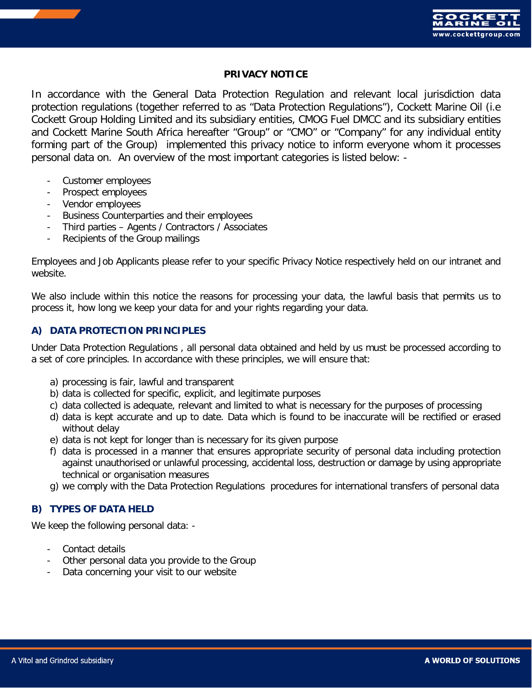

### **PRIVACY NOTICE**

In accordance with the General Data Protection Regulation and relevant local jurisdiction data protection regulations (together referred to as "Data Protection Regulations"), Cockett Marine Oil (i.e Cockett Group Holding Limited and its subsidiary entities, CMOG Fuel DMCC and its subsidiary entities and Cockett Marine South Africa hereafter "Group" or "CMO" or "Company" for any individual entity forming part of the Group) implemented this privacy notice to inform everyone whom it processes personal data on. An overview of the most important categories is listed below: -

- Customer employees
- Prospect employees
- Vendor employees
- Business Counterparties and their employees
- Third parties Agents / Contractors / Associates
- Recipients of the Group mailings

Employees and Job Applicants please refer to your specific Privacy Notice respectively held on our intranet and website.

We also include within this notice the reasons for processing your data, the lawful basis that permits us to process it, how long we keep your data for and your rights regarding your data.

## **A) DATA PROTECTION PRINCIPLES**

Under Data Protection Regulations , all personal data obtained and held by us must be processed according to a set of core principles. In accordance with these principles, we will ensure that:

- a) processing is fair, lawful and transparent
- b) data is collected for specific, explicit, and legitimate purposes
- c) data collected is adequate, relevant and limited to what is necessary for the purposes of processing
- d) data is kept accurate and up to date. Data which is found to be inaccurate will be rectified or erased without delay
- e) data is not kept for longer than is necessary for its given purpose
- f) data is processed in a manner that ensures appropriate security of personal data including protection against unauthorised or unlawful processing, accidental loss, destruction or damage by using appropriate technical or organisation measures
- g) we comply with the Data Protection Regulations procedures for international transfers of personal data

### **B) TYPES OF DATA HELD**

We keep the following personal data: -

- Contact details
- Other personal data you provide to the Group
- Data concerning your visit to our website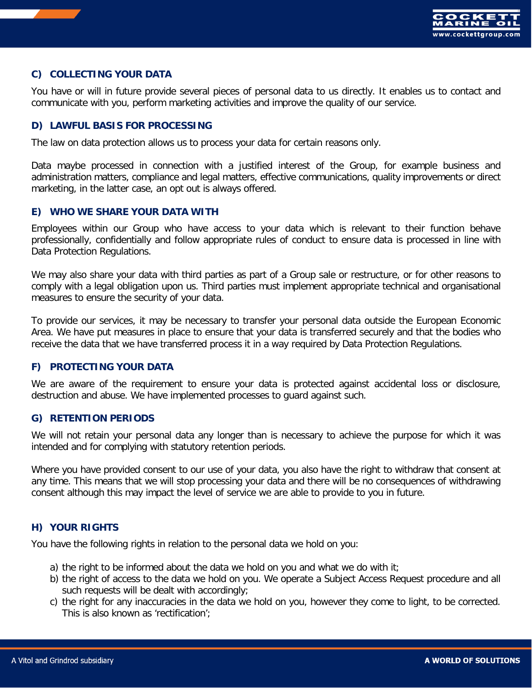

# **C) COLLECTING YOUR DATA**

You have or will in future provide several pieces of personal data to us directly. It enables us to contact and communicate with you, perform marketing activities and improve the quality of our service.

## **D) LAWFUL BASIS FOR PROCESSING**

The law on data protection allows us to process your data for certain reasons only.

Data maybe processed in connection with a justified interest of the Group, for example business and administration matters, compliance and legal matters, effective communications, quality improvements or direct marketing, in the latter case, an opt out is always offered.

## **E) WHO WE SHARE YOUR DATA WITH**

Employees within our Group who have access to your data which is relevant to their function behave professionally, confidentially and follow appropriate rules of conduct to ensure data is processed in line with Data Protection Regulations.

We may also share your data with third parties as part of a Group sale or restructure, or for other reasons to comply with a legal obligation upon us. Third parties must implement appropriate technical and organisational measures to ensure the security of your data.

To provide our services, it may be necessary to transfer your personal data outside the European Economic Area. We have put measures in place to ensure that your data is transferred securely and that the bodies who receive the data that we have transferred process it in a way required by Data Protection Regulations.

# **F) PROTECTING YOUR DATA**

We are aware of the requirement to ensure your data is protected against accidental loss or disclosure, destruction and abuse. We have implemented processes to guard against such.

### **G) RETENTION PERIODS**

We will not retain your personal data any longer than is necessary to achieve the purpose for which it was intended and for complying with statutory retention periods.

Where you have provided consent to our use of your data, you also have the right to withdraw that consent at any time. This means that we will stop processing your data and there will be no consequences of withdrawing consent although this may impact the level of service we are able to provide to you in future.

# **H) YOUR RIGHTS**

You have the following rights in relation to the personal data we hold on you:

- a) the right to be informed about the data we hold on you and what we do with it;
- b) the right of access to the data we hold on you. We operate a Subject Access Request procedure and all such requests will be dealt with accordingly;
- c) the right for any inaccuracies in the data we hold on you, however they come to light, to be corrected. This is also known as 'rectification';